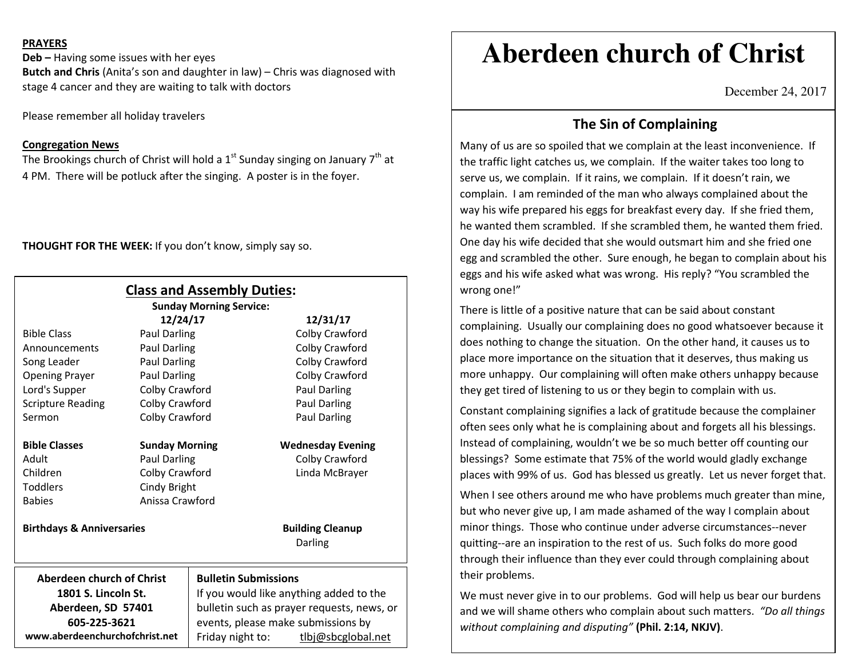### **PRAYERS**

**Deb –** Having some issues with her eyes **Butch and Chris** (Anita's son and daughter in law) – Chris was diagnosed with stage 4 cancer and they are waiting to talk with doctors

Please remember all holiday travelers

#### **Congregation News**

The Brookings church of Christ will hold a 1<sup>st</sup> Sunday singing on January 7<sup>th</sup> at 4 PM. There will be potluck after the singing. A poster is in the foyer.

**THOUGHT FOR THE WEEK:** If you don't know, simply say so.

|                                      |                       | <b>Class and Assembly Duties:</b>          |                          |
|--------------------------------------|-----------------------|--------------------------------------------|--------------------------|
|                                      |                       | <b>Sunday Morning Service:</b>             |                          |
|                                      | 12/24/17              |                                            | 12/31/17                 |
| <b>Bible Class</b>                   | Paul Darling          |                                            | Colby Crawford           |
| Announcements                        | Paul Darling          |                                            | Colby Crawford           |
| Song Leader                          | Paul Darling          |                                            | Colby Crawford           |
| <b>Opening Prayer</b>                | Paul Darling          |                                            | Colby Crawford           |
| Lord's Supper                        | Colby Crawford        |                                            | Paul Darling             |
| <b>Scripture Reading</b>             | Colby Crawford        |                                            | <b>Paul Darling</b>      |
| Sermon                               | Colby Crawford        |                                            | <b>Paul Darling</b>      |
| <b>Bible Classes</b>                 | <b>Sunday Morning</b> |                                            | <b>Wednesday Evening</b> |
| Adult                                | Paul Darling          |                                            | Colby Crawford           |
| Children                             | Colby Crawford        |                                            | Linda McBrayer           |
| <b>Toddlers</b>                      | Cindy Bright          |                                            |                          |
| <b>Babies</b>                        | Anissa Crawford       |                                            |                          |
| <b>Birthdays &amp; Anniversaries</b> |                       |                                            | <b>Building Cleanup</b>  |
|                                      |                       |                                            | Darling                  |
| Aberdeen church of Christ            |                       | <b>Bulletin Submissions</b>                |                          |
| 1801 S. Lincoln St.                  |                       | If you would like anything added to the    |                          |
| Aberdeen, SD 57401                   |                       | bulletin such as prayer requests, news, or |                          |
| 605-225-3621                         |                       | events, please make submissions by         |                          |
| www.aberdeenchurchofchrist.net       |                       | Friday night to:                           | tlbj@sbcglobal.net       |

# **Aberdeen church of Christ**

December 24, 2017

## **The Sin of Complaining**

Many of us are so spoiled that we complain at the least inconvenience. If the traffic light catches us, we complain. If the waiter takes too long to serve us, we complain. If it rains, we complain. If it doesn't rain, we complain. I am reminded of the man who always complained about the way his wife prepared his eggs for breakfast every day. If she fried them, he wanted them scrambled. If she scrambled them, he wanted them fried. One day his wife decided that she would outsmart him and she fried one egg and scrambled the other. Sure enough, he began to complain about his eggs and his wife asked what was wrong. His reply? "You scrambled the wrong one!"

There is little of a positive nature that can be said about constant complaining. Usually our complaining does no good whatsoever because it does nothing to change the situation. On the other hand, it causes us to place more importance on the situation that it deserves, thus making us more unhappy. Our complaining will often make others unhappy because they get tired of listening to us or they begin to complain with us.

Constant complaining signifies a lack of gratitude because the complainer often sees only what he is complaining about and forgets all his blessings. Instead of complaining, wouldn't we be so much better off counting our blessings? Some estimate that 75% of the world would gladly exchange places with 99% of us. God has blessed us greatly. Let us never forget that.

When I see others around me who have problems much greater than mine, but who never give up, I am made ashamed of the way I complain about minor things. Those who continue under adverse circumstances--never quitting--are an inspiration to the rest of us. Such folks do more good through their influence than they ever could through complaining about their problems.

We must never give in to our problems. God will help us bear our burdens and we will shame others who complain about such matters. *"Do all things without complaining and disputing"* **(Phil. 2:14, NKJV)**.